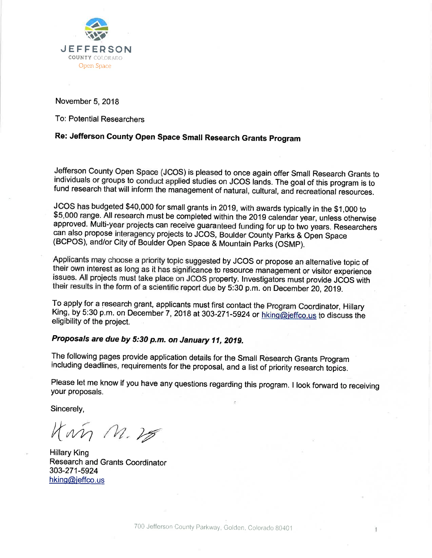

November 5, 2018

To: Potential Researchers

# Re: Jefferson County Open Space Small Research Grants Program

Jefferson County Open Space (JCOS) is pleased to once again offer Small Research Grants to individuals or groups to conduct applied studies on JCOS lands. The goal of this program is to fund research that will inform the management of natural, cultural, and recreational resources.

JCOS has budgeted \$40,000 for small grants in 2019, with awards typically in the \$1,000 to \$5,000 range. All research must be completed within the 2019 calendar year, unless otherwise approved. Multi-year projects can receive guaranteed funding for up to two years. Researchers can also propose interagency projects to JCOS, Boulder County Parks & Open Space (BCPOS), and/or City of Boulder Open Space & Mountain Parks (OSMP).

Applicants may choose a priority topic suggested by JCOS or propose an alternative topic of their own interest as long as it has significance to resource management or visitor experience issues. All projects must take place on JCOS property. Investigators must provide JCOS with their results in the form of a scientific report due by 5:30 p.m. on December 20, 2019.

To apply for a research grant, applicants must first contact the Program Coordinator, Hillary King, by 5:30 p.m. on December 7, 2018 at 303-271-5924 or hking@jeffco.us to discuss the eligibility of the project.

## Proposals are due by 5:30 p.m. on January 11, 2019.

The following pages provide application details for the Small Research Grants Program including deadlines, requirements for the proposal, and a list of priority research topics.

Please let me know if you have any questions regarding this program. I look forward to receiving your proposals.

Sincerely,

Kin M.25

**Hillary King Research and Grants Coordinator** 303-271-5924 hking@jeffco.us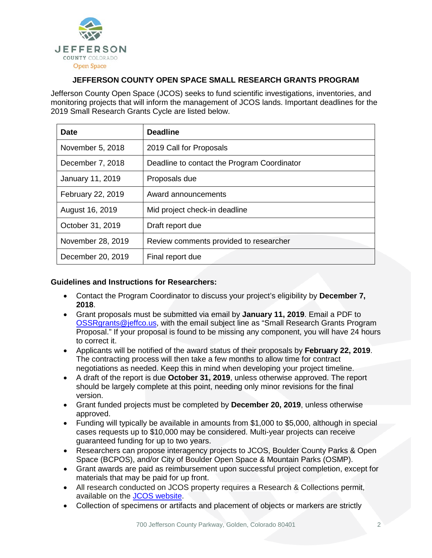

## **JEFFERSON COUNTY OPEN SPACE SMALL RESEARCH GRANTS PROGRAM**

Jefferson County Open Space (JCOS) seeks to fund scientific investigations, inventories, and monitoring projects that will inform the management of JCOS lands. Important deadlines for the 2019 Small Research Grants Cycle are listed below.

| <b>Date</b>       | <b>Deadline</b>                             |
|-------------------|---------------------------------------------|
| November 5, 2018  | 2019 Call for Proposals                     |
| December 7, 2018  | Deadline to contact the Program Coordinator |
| January 11, 2019  | Proposals due                               |
| February 22, 2019 | Award announcements                         |
| August 16, 2019   | Mid project check-in deadline               |
| October 31, 2019  | Draft report due                            |
| November 28, 2019 | Review comments provided to researcher      |
| December 20, 2019 | Final report due                            |

### **Guidelines and Instructions for Researchers:**

- Contact the Program Coordinator to discuss your project's eligibility by **December 7, 2018**.
- Grant proposals must be submitted via email by **January 11, 2019**. Email a PDF to [OSSRgrants@jeffco.us,](mailto:OSSRgrants@jeffco.us) with the email subject line as "Small Research Grants Program Proposal." If your proposal is found to be missing any component, you will have 24 hours to correct it.
- Applicants will be notified of the award status of their proposals by **February 22, 2019**. The contracting process will then take a few months to allow time for contract negotiations as needed. Keep this in mind when developing your project timeline.
- A draft of the report is due **October 31, 2019**, unless otherwise approved. The report should be largely complete at this point, needing only minor revisions for the final version.
- Grant funded projects must be completed by **December 20, 2019**, unless otherwise approved.
- Funding will typically be available in amounts from \$1,000 to \$5,000, although in special cases requests up to \$10,000 may be considered. Multi-year projects can receive guaranteed funding for up to two years.
- Researchers can propose interagency projects to JCOS, Boulder County Parks & Open Space (BCPOS), and/or City of Boulder Open Space & Mountain Parks (OSMP).
- Grant awards are paid as reimbursement upon successful project completion, except for materials that may be paid for up front.
- All research conducted on JCOS property requires a Research & Collections permit, available on the [JCOS website.](https://www.jeffco.us/FormCenter/Open-Space-15/JCOS-Research-and-Collections-Permit-App-175)
- Collection of specimens or artifacts and placement of objects or markers are strictly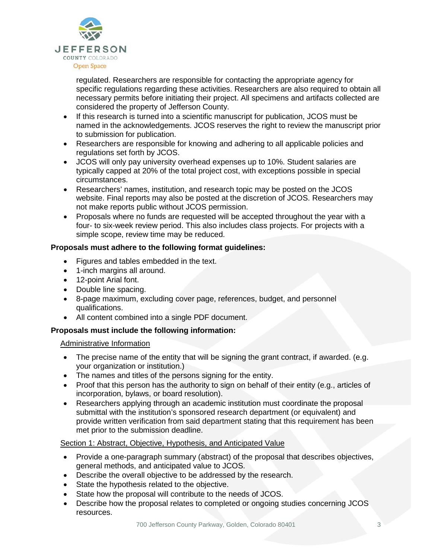

regulated. Researchers are responsible for contacting the appropriate agency for specific regulations regarding these activities. Researchers are also required to obtain all necessary permits before initiating their project. All specimens and artifacts collected are considered the property of Jefferson County.

- If this research is turned into a scientific manuscript for publication, JCOS must be named in the acknowledgements. JCOS reserves the right to review the manuscript prior to submission for publication.
- Researchers are responsible for knowing and adhering to all applicable policies and regulations set forth by JCOS.
- JCOS will only pay university overhead expenses up to 10%. Student salaries are typically capped at 20% of the total project cost, with exceptions possible in special circumstances.
- Researchers' names, institution, and research topic may be posted on the JCOS website. Final reports may also be posted at the discretion of JCOS. Researchers may not make reports public without JCOS permission.
- Proposals where no funds are requested will be accepted throughout the year with a four- to six-week review period. This also includes class projects. For projects with a simple scope, review time may be reduced.

## **Proposals must adhere to the following format guidelines:**

- Figures and tables embedded in the text.
- 1-inch margins all around.
- 12-point Arial font.
- Double line spacing.
- 8-page maximum, excluding cover page, references, budget, and personnel qualifications.
- All content combined into a single PDF document.

### **Proposals must include the following information:**

### Administrative Information

- The precise name of the entity that will be signing the grant contract, if awarded. (e.g. your organization or institution.)
- The names and titles of the persons signing for the entity.
- Proof that this person has the authority to sign on behalf of their entity (e.g., articles of incorporation, bylaws, or board resolution).
- Researchers applying through an academic institution must coordinate the proposal submittal with the institution's sponsored research department (or equivalent) and provide written verification from said department stating that this requirement has been met prior to the submission deadline.

### Section 1: Abstract, Objective, Hypothesis, and Anticipated Value

- Provide a one-paragraph summary (abstract) of the proposal that describes objectives, general methods, and anticipated value to JCOS.
- Describe the overall objective to be addressed by the research.
- State the hypothesis related to the objective.
- State how the proposal will contribute to the needs of JCOS.
- Describe how the proposal relates to completed or ongoing studies concerning JCOS resources.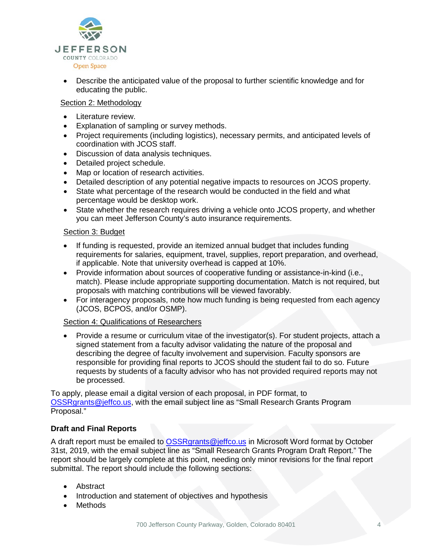

• Describe the anticipated value of the proposal to further scientific knowledge and for educating the public.

#### Section 2: Methodology

- Literature review.
- Explanation of sampling or survey methods.
- Project requirements (including logistics), necessary permits, and anticipated levels of coordination with JCOS staff.
- Discussion of data analysis techniques.
- Detailed project schedule.
- Map or location of research activities.
- Detailed description of any potential negative impacts to resources on JCOS property.
- State what percentage of the research would be conducted in the field and what percentage would be desktop work.
- State whether the research requires driving a vehicle onto JCOS property, and whether you can meet Jefferson County's auto insurance requirements.

#### Section 3: Budget

- If funding is requested, provide an itemized annual budget that includes funding requirements for salaries, equipment, travel, supplies, report preparation, and overhead, if applicable. Note that university overhead is capped at 10%.
- Provide information about sources of cooperative funding or assistance-in-kind (i.e., match). Please include appropriate supporting documentation. Match is not required, but proposals with matching contributions will be viewed favorably.
- For interagency proposals, note how much funding is being requested from each agency (JCOS, BCPOS, and/or OSMP).

#### Section 4: Qualifications of Researchers

• Provide a resume or curriculum vitae of the investigator(s). For student projects, attach a signed statement from a faculty advisor validating the nature of the proposal and describing the degree of faculty involvement and supervision. Faculty sponsors are responsible for providing final reports to JCOS should the student fail to do so. Future requests by students of a faculty advisor who has not provided required reports may not be processed.

To apply, please email a digital version of each proposal, in PDF format, to [OSSRgrants@jeffco.us,](mailto:OSSRgrants@jeffco.us) with the email subject line as "Small Research Grants Program Proposal."

#### **Draft and Final Reports**

A draft report must be emailed to **OSSRgrants@jeffco.us** in Microsoft Word format by October 31st, 2019, with the email subject line as "Small Research Grants Program Draft Report." The report should be largely complete at this point, needing only minor revisions for the final report submittal. The report should include the following sections:

- Abstract
- Introduction and statement of objectives and hypothesis
- Methods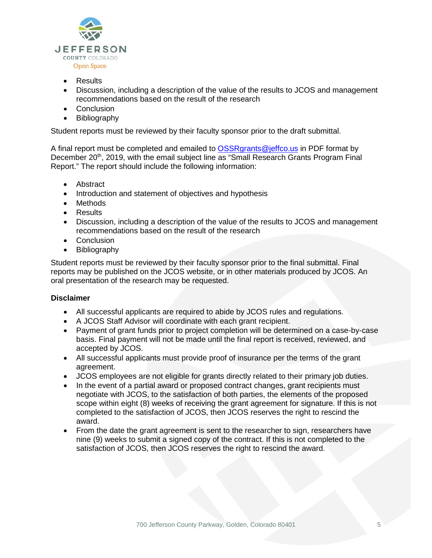

- Results
- Discussion, including a description of the value of the results to JCOS and management recommendations based on the result of the research
- Conclusion
- **Bibliography**

Student reports must be reviewed by their faculty sponsor prior to the draft submittal.

A final report must be completed and emailed to [OSSRgrants@jeffco.us](mailto:OSSRgrants@jeffco.us) in PDF format by December 20<sup>th</sup>, 2019, with the email subject line as "Small Research Grants Program Final Report." The report should include the following information:

- Abstract
- Introduction and statement of objectives and hypothesis
- Methods
- Results
- Discussion, including a description of the value of the results to JCOS and management recommendations based on the result of the research
- Conclusion
- Bibliography

Student reports must be reviewed by their faculty sponsor prior to the final submittal. Final reports may be published on the JCOS website, or in other materials produced by JCOS. An oral presentation of the research may be requested.

#### **Disclaimer**

- All successful applicants are required to abide by JCOS rules and regulations.
- A JCOS Staff Advisor will coordinate with each grant recipient.
- Payment of grant funds prior to project completion will be determined on a case-by-case basis. Final payment will not be made until the final report is received, reviewed, and accepted by JCOS.
- All successful applicants must provide proof of insurance per the terms of the grant agreement.
- JCOS employees are not eligible for grants directly related to their primary job duties.
- In the event of a partial award or proposed contract changes, grant recipients must negotiate with JCOS, to the satisfaction of both parties, the elements of the proposed scope within eight (8) weeks of receiving the grant agreement for signature. If this is not completed to the satisfaction of JCOS, then JCOS reserves the right to rescind the award.
- From the date the grant agreement is sent to the researcher to sign, researchers have nine (9) weeks to submit a signed copy of the contract. If this is not completed to the satisfaction of JCOS, then JCOS reserves the right to rescind the award.